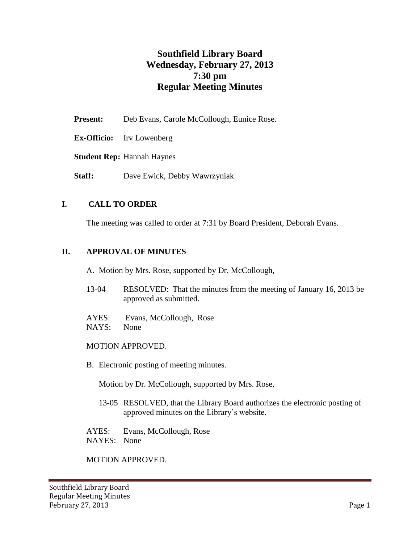# **Southfield Library Board Wednesday, February 27, 2013 7:30 pm Regular Meeting Minutes**

- Present: Deb Evans, Carole McCollough, Eunice Rose.
- **Ex-Officio:** Irv Lowenberg

**Student Rep:** Hannah Haynes

**Staff:** Dave Ewick, Debby Wawrzyniak

# **I. CALL TO ORDER**

The meeting was called to order at 7:31 by Board President, Deborah Evans.

#### **II. APPROVAL OF MINUTES**

A. Motion by Mrs. Rose, supported by Dr. McCollough,

- 13-04 RESOLVED: That the minutes from the meeting of January 16, 2013 be approved as submitted.
- AYES: Evans, McCollough, Rose
- NAYS: None

#### MOTION APPROVED.

B. Electronic posting of meeting minutes.

Motion by Dr. McCollough, supported by Mrs. Rose,

13-05 RESOLVED, that the Library Board authorizes the electronic posting of approved minutes on the Library's website.

AYES: Evans, McCollough, Rose NAYES: None

MOTION APPROVED.

Southfield Library Board Regular Meeting Minutes February 27, 2013 Page 1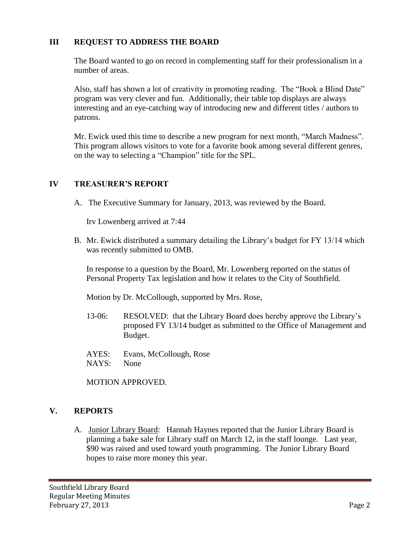# **III REQUEST TO ADDRESS THE BOARD**

The Board wanted to go on record in complementing staff for their professionalism in a number of areas.

Also, staff has shown a lot of creativity in promoting reading. The "Book a Blind Date" program was very clever and fun. Additionally, their table top displays are always interesting and an eye-catching way of introducing new and different titles / authors to patrons.

Mr. Ewick used this time to describe a new program for next month, "March Madness". This program allows visitors to vote for a favorite book among several different genres, on the way to selecting a "Champion" title for the SPL.

# **IV TREASURER'S REPORT**

A. The Executive Summary for January, 2013, was reviewed by the Board.

Irv Lowenberg arrived at 7:44

B. Mr. Ewick distributed a summary detailing the Library's budget for FY 13/14 which was recently submitted to OMB.

In response to a question by the Board, Mr. Lowenberg reported on the status of Personal Property Tax legislation and how it relates to the City of Southfield.

Motion by Dr. McCollough, supported by Mrs. Rose,

- 13-06: RESOLVED: that the Library Board does hereby approve the Library's proposed FY 13/14 budget as submitted to the Office of Management and Budget.
- AYES: Evans, McCollough, Rose NAYS: None

MOTION APPROVED.

# **V. REPORTS**

A. Junior Library Board: Hannah Haynes reported that the Junior Library Board is planning a bake sale for Library staff on March 12, in the staff lounge. Last year, \$90 was raised and used toward youth programming. The Junior Library Board hopes to raise more money this year.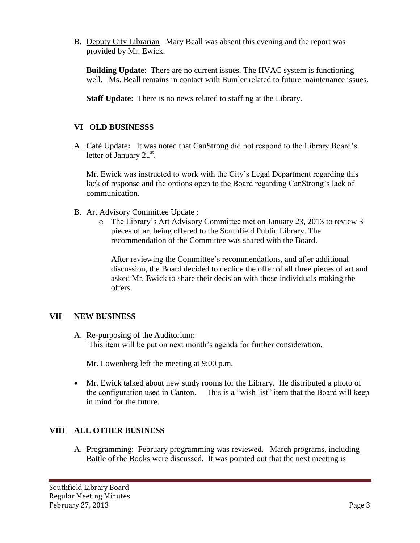B. Deputy City Librarian Mary Beall was absent this evening and the report was provided by Mr. Ewick.

**Building Update**: There are no current issues. The HVAC system is functioning well. Ms. Beall remains in contact with Bumler related to future maintenance issues.

**Staff Update**: There is no news related to staffing at the Library.

# **VI OLD BUSINESSS**

A. Café Update**:** It was noted that CanStrong did not respond to the Library Board's letter of January 21<sup>st</sup>.

Mr. Ewick was instructed to work with the City's Legal Department regarding this lack of response and the options open to the Board regarding CanStrong's lack of communication.

- B. Art Advisory Committee Update :
	- o The Library's Art Advisory Committee met on January 23, 2013 to review 3 pieces of art being offered to the Southfield Public Library. The recommendation of the Committee was shared with the Board.

After reviewing the Committee's recommendations, and after additional discussion, the Board decided to decline the offer of all three pieces of art and asked Mr. Ewick to share their decision with those individuals making the offers.

# **VII NEW BUSINESS**

A. Re-purposing of the Auditorium: This item will be put on next month's agenda for further consideration.

Mr. Lowenberg left the meeting at 9:00 p.m.

 Mr. Ewick talked about new study rooms for the Library. He distributed a photo of the configuration used in Canton. This is a "wish list" item that the Board will keep in mind for the future.

# **VIII ALL OTHER BUSINESS**

A. Programming: February programming was reviewed. March programs, including Battle of the Books were discussed. It was pointed out that the next meeting is